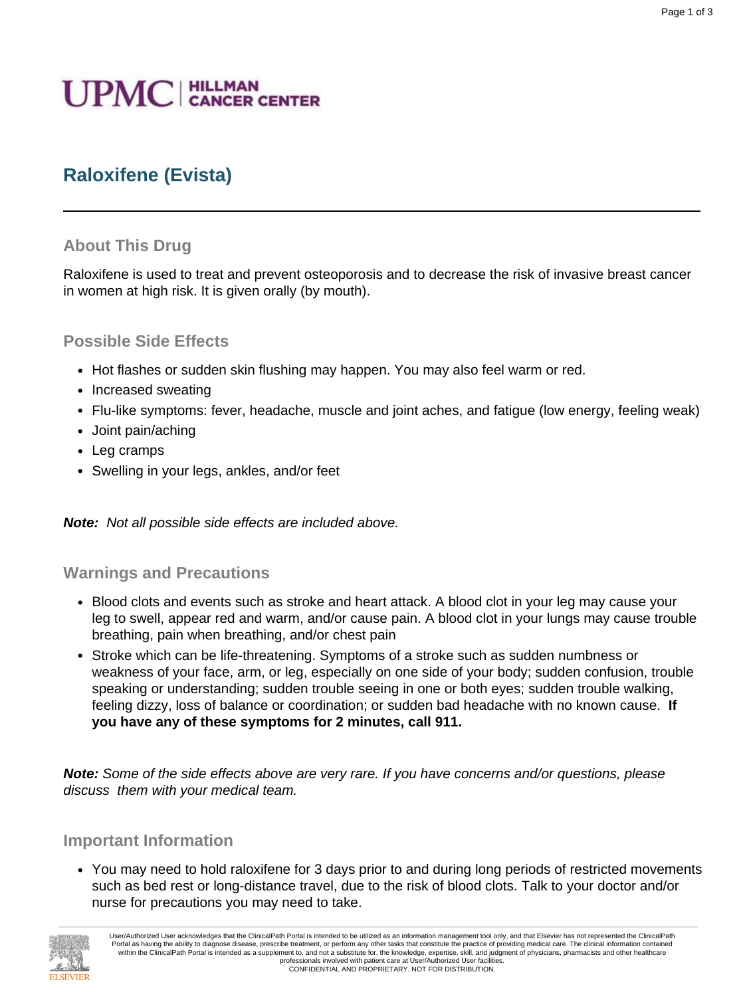# **UPMC** | HILLMAN

## **Raloxifene (Evista)**

#### **About This Drug**

Raloxifene is used to treat and prevent osteoporosis and to decrease the risk of invasive breast cancer in women at high risk. It is given orally (by mouth).

#### **Possible Side Effects**

- Hot flashes or sudden skin flushing may happen. You may also feel warm or red.
- Increased sweating
- Flu-like symptoms: fever, headache, muscle and joint aches, and fatigue (low energy, feeling weak)
- Joint pain/aching
- Leg cramps
- Swelling in your legs, ankles, and/or feet

**Note:** Not all possible side effects are included above.

#### **Warnings and Precautions**

- Blood clots and events such as stroke and heart attack. A blood clot in your leg may cause your leg to swell, appear red and warm, and/or cause pain. A blood clot in your lungs may cause trouble breathing, pain when breathing, and/or chest pain
- Stroke which can be life-threatening. Symptoms of a stroke such as sudden numbness or weakness of your face, arm, or leg, especially on one side of your body; sudden confusion, trouble speaking or understanding; sudden trouble seeing in one or both eyes; sudden trouble walking, feeling dizzy, loss of balance or coordination; or sudden bad headache with no known cause. **If you have any of these symptoms for 2 minutes, call 911.**

**Note:** Some of the side effects above are very rare. If you have concerns and/or questions, please discuss them with your medical team.

#### **Important Information**

• You may need to hold raloxifene for 3 days prior to and during long periods of restricted movements such as bed rest or long-distance travel, due to the risk of blood clots. Talk to your doctor and/or nurse for precautions you may need to take.



User/Authorized User acknowledges that the ClinicalPath Portal is intended to be utilized as an information management tool only, and that Elsevier has not represented the ClinicalPath Portal as having the ability to diagnose disease, prescribe treatment, or perform any other tasks that constitute the practice of providing medical care. The clinical information contained within the ClinicalPath Portal is intended as a supplement to, and not a substitute for, the knowledge, expertise, skill, and judgment of physicians, pharmacists and other healthcare professionals involved with patient care at User/Authorized User facilities. CONFIDENTIAL AND PROPRIETARY. NOT FOR DISTRIBUTION.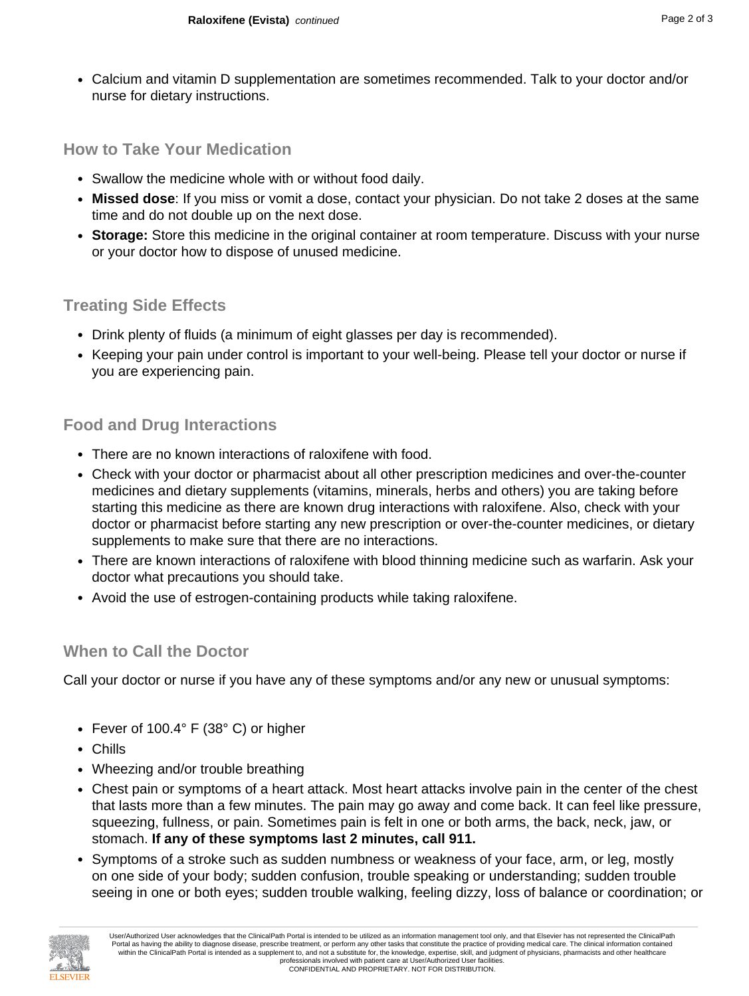• Calcium and vitamin D supplementation are sometimes recommended. Talk to your doctor and/or nurse for dietary instructions.

#### **How to Take Your Medication**

- Swallow the medicine whole with or without food daily.
- **Missed dose**: If you miss or vomit a dose, contact your physician. Do not take 2 doses at the same time and do not double up on the next dose.
- **Storage:** Store this medicine in the original container at room temperature. Discuss with your nurse or your doctor how to dispose of unused medicine.

#### **Treating Side Effects**

- Drink plenty of fluids (a minimum of eight glasses per day is recommended).
- Keeping your pain under control is important to your well-being. Please tell your doctor or nurse if you are experiencing pain.

#### **Food and Drug Interactions**

- There are no known interactions of raloxifene with food.
- Check with your doctor or pharmacist about all other prescription medicines and over-the-counter medicines and dietary supplements (vitamins, minerals, herbs and others) you are taking before starting this medicine as there are known drug interactions with raloxifene. Also, check with your doctor or pharmacist before starting any new prescription or over-the-counter medicines, or dietary supplements to make sure that there are no interactions.
- There are known interactions of raloxifene with blood thinning medicine such as warfarin. Ask your doctor what precautions you should take.
- Avoid the use of estrogen-containing products while taking raloxifene.

#### **When to Call the Doctor**

Call your doctor or nurse if you have any of these symptoms and/or any new or unusual symptoms:

- Fever of 100.4° F (38° C) or higher
- Chills
- Wheezing and/or trouble breathing
- Chest pain or symptoms of a heart attack. Most heart attacks involve pain in the center of the chest that lasts more than a few minutes. The pain may go away and come back. It can feel like pressure, squeezing, fullness, or pain. Sometimes pain is felt in one or both arms, the back, neck, jaw, or stomach. **If any of these symptoms last 2 minutes, call 911.**
- Symptoms of a stroke such as sudden numbness or weakness of your face, arm, or leg, mostly on one side of your body; sudden confusion, trouble speaking or understanding; sudden trouble seeing in one or both eyes; sudden trouble walking, feeling dizzy, loss of balance or coordination; or